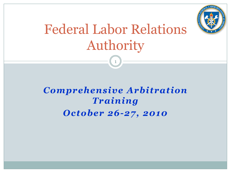

# Federal Labor Relations Authority

1

### *Comprehensive Arbitration Training October 26-27, 2010*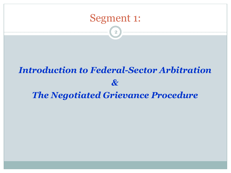

2

# *Introduction to Federal-Sector Arbitration & The Negotiated Grievance Procedure*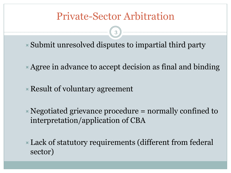### Private-Sector Arbitration

 $\blacktriangleright$  Submit unresolved disputes to impartial third party

- $\overline{\mathbf{A}}$  Agree in advance to accept decision as final and binding
- $\triangle$  Result of voluntary agreement
- $\triangleright$  Negotiated grievance procedure = normally confined to interpretation/application of CBA
- $\blacktriangleright$  Lack of statutory requirements (different from federal sector)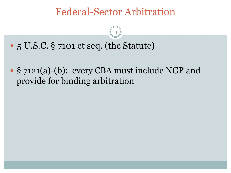### Federal-Sector Arbitration

- " 5 U.S.C. § 7101 et seq. (the Statute)
- " § 7121(a)-(b): every CBA must include NGP and provide for binding arbitration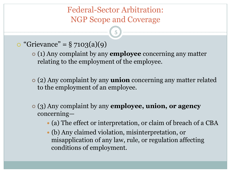- $\circ$  "Grievance" = § 7103(a)(9)
	- " (1) Any complaint by any **employee** concerning any matter relating to the employment of the employee.
	- " (2) Any complaint by any **union** concerning any matter related to the employment of an employee.
	- " (3) Any complaint by any **employee, union, or agency** concerning—
		- (a) The effect or interpretation, or claim of breach of a CBA
		- (b) Any claimed violation, misinterpretation, or misapplication of any law, rule, or regulation affecting conditions of employment.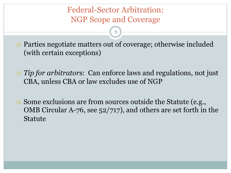! Parties negotiate matters out of coverage; otherwise included (with certain exceptions)

- ! *Tip for arbitrators*: Can enforce laws and regulations, not just CBA, unless CBA or law excludes use of NGP
- . Some exclusions are from sources outside the Statute (e.g., OMB Circular A-76, see 52/717), and others are set forth in the Statute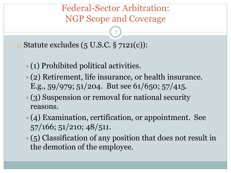7

 $\circ$  Statute excludes (5 U.S.C. § 7121(c)):

- $\times$  (1) Prohibited political activities.
- $\times$  (2) Retirement, life insurance, or health insurance. E.g.,  $59/979$ ;  $51/204$ . But see  $61/650$ ;  $57/415$ .
- $\mathbb{R}(3)$  Suspension or removal for national security reasons.
- $*(4)$  Examination, certification, or appointment. See 57/166; 51/210; 48/511.
- $\mathcal{L}(5)$  Classification of any position that does not result in the demotion of the employee.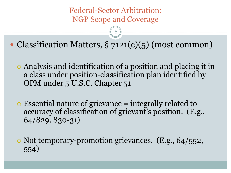8

• Classification Matters, § 7121(c)(5) (most common)

- ! Analysis and identification of a position and placing it in a class under position-classification plan identified by OPM under 5 U.S.C. Chapter 51
- $\circ$  Essential nature of grievance = integrally related to accuracy of classification of grievant's position. (E.g., 64/829, 830-31)

o Not temporary-promotion grievances. (E.g., 64/552, 554)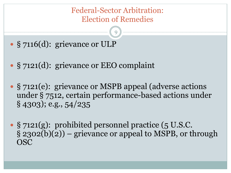#### Federal-Sector Arbitration: Election of Remedies

- § 7116(d): grievance or ULP
- § 7121(d): grievance or EEO complaint
- " § 7121(e): grievance or MSPB appeal (adverse actions under § 7512, certain performance-based actions under § 4303); e.g., 54/235
- " § 7121(g): prohibited personnel practice (5 U.S.C.  $\S$  2302(b)(2)) – grievance or appeal to MSPB, or through OSC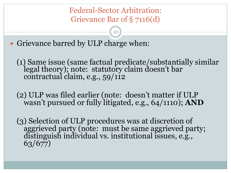Federal-Sector Arbitration: Grievance Bar of § 7116(d)

10

• Grievance barred by ULP charge when:

(1) Same issue (same factual predicate/substantially similar legal theory); note: statutory claim doesn't bar contractual claim, e.g., 59/112

(2) ULP was filed earlier (note: doesn't matter if ULP wasn't pursued or fully litigated, e.g., 64/1110); **AND** 

(3) Selection of ULP procedures was at discretion of aggrieved party (note: must be same aggrieved party; distinguish individual vs. institutional issues, e.g., 63/677)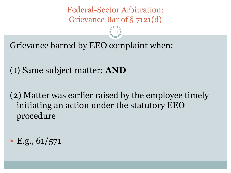Federal-Sector Arbitration: Grievance Bar of § 7121(d)

11

Grievance barred by EEO complaint when:

(1) Same subject matter; **AND** 

(2) Matter was earlier raised by the employee timely initiating an action under the statutory EEO procedure

 $\cdot$  E.g., 61/571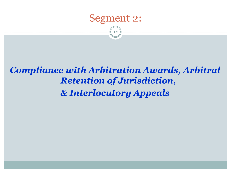

12

### *Compliance with Arbitration Awards, Arbitral Retention of Jurisdiction, & Interlocutory Appeals*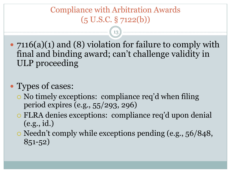### Compliance with Arbitration Awards  $(5 \text{ U.S.C.} \S 7122(b))$

13

• 7116(a)(1) and (8) violation for failure to comply with final and binding award; can't challenge validity in ULP proceeding

### • Types of cases:

- ! No timely exceptions: compliance req'd when filing period expires (e.g., 55/293, 296)
- ! FLRA denies exceptions: compliance req'd upon denial (e.g., id.)
- ! Needn't comply while exceptions pending (e.g., 56/848, 851-52)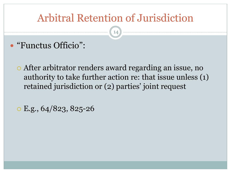# Arbitral Retention of Jurisdiction

- " "Functus Officio":
	- ! After arbitrator renders award regarding an issue, no authority to take further action re: that issue unless (1) retained jurisdiction or (2) parties' joint request
	- $\circ$  E.g., 64/823, 825-26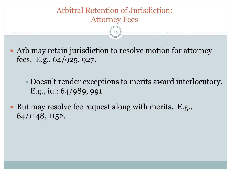### Arbitral Retention of Jurisdiction: Attorney Fees

15

• Arb may retain jurisdiction to resolve motion for attorney fees. E.g., 64/925, 927.

 $\triangle$  Doesn't render exceptions to merits award interlocutory. E.g., id.; 64/989, 991.

• But may resolve fee request along with merits. E.g., 64/1148, 1152.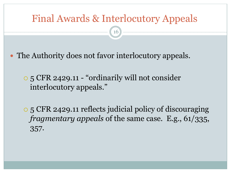16

The Authority does not favor interlocutory appeals.

! 5 CFR 2429.11 - "ordinarily will not consider interlocutory appeals."

! 5 CFR 2429.11 reflects judicial policy of discouraging *fragmentary appeals* of the same case. E.g., 61/335, 357.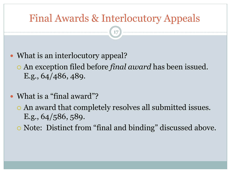- What is an interlocutory appeal?
	- ! An exception filed before *final award* has been issued. E.g., 64/486, 489.
- What is a "final award"?
	- $\circ$  An award that completely resolves all submitted issues. E.g., 64/586, 589.
	- ! Note: Distinct from "final and binding" discussed above.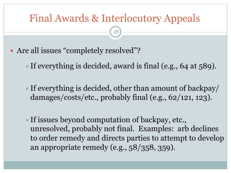- Are all issues "completely resolved"?
	- If everything is decided, award is final (e.g., 64 at  $589$ ).
	- If everything is decided, other than amount of backpay/ damages/costs/etc., probably final (e.g., 62/121, 123).
	- If issues beyond computation of backpay, etc., unresolved, probably not final. Examples: arb declines to order remedy and directs parties to attempt to develop an appropriate remedy (e.g., 58/358, 359).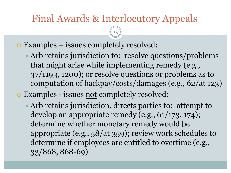- ! Examples issues completely resolved:
	- $\triangle$  Arb retains jurisdiction to: resolve questions/problems that might arise while implementing remedy (e.g., 37/1193, 1200); or resolve questions or problems as to computation of backpay/costs/damages (e.g., 62/at 123)
- o Examples issues not completely resolved:
	- $\overline{\phantom{a}}$  Arb retains jurisdiction, directs parties to: attempt to develop an appropriate remedy (e.g., 61/173, 174); determine whether monetary remedy would be appropriate (e.g., 58/at 359); review work schedules to determine if employees are entitled to overtime (e.g., 33/868, 868-69)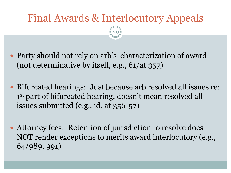- Party should not rely on arb's characterization of award (not determinative by itself, e.g., 61/at 357)
- Bifurcated hearings: Just because arb resolved all issues re: 1<sup>st</sup> part of bifurcated hearing, doesn't mean resolved all issues submitted (e.g., id. at 356-57)
- Attorney fees: Retention of jurisdiction to resolve does NOT render exceptions to merits award interlocutory (e.g., 64/989, 991)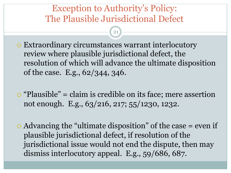Exception to Authority's Policy: The Plausible Jurisdictional Defect

- ! Extraordinary circumstances warrant interlocutory review where plausible jurisdictional defect, the resolution of which will advance the ultimate disposition of the case. E.g., 62/344, 346.
- $\circ$  "Plausible" = claim is credible on its face; mere assertion not enough. E.g., 63/216, 217; 55/1230, 1232.
- $\circ$  Advancing the "ultimate disposition" of the case = even if plausible jurisdictional defect, if resolution of the jurisdictional issue would not end the dispute, then may dismiss interlocutory appeal. E.g., 59/686, 687.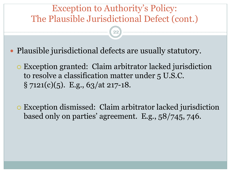### Exception to Authority's Policy: The Plausible Jurisdictional Defect (cont.)

 $(22)$ 

- " Plausible jurisdictional defects are usually statutory.
	- ! Exception granted: Claim arbitrator lacked jurisdiction to resolve a classification matter under 5 U.S.C.  $\S$  7121(c)(5). E.g., 63/at 217-18.
	- ! Exception dismissed: Claim arbitrator lacked jurisdiction based only on parties' agreement. E.g., 58/745, 746.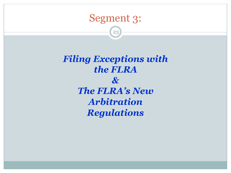

23

*Filing Exceptions with the FLRA & The FLRA's New Arbitration Regulations*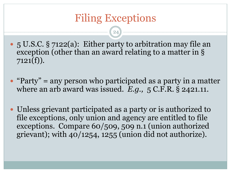$24)$ 

- 5 U.S.C. § 7122(a): Either party to arbitration may file an exception (other than an award relating to a matter in §  $7121(f)$ ).
- $\bullet$  "Party" = any person who participated as a party in a matter where an arb award was issued. *E.g.,* 5 C.F.R. § 2421.11.
- Unless grievant participated as a party or is authorized to file exceptions, only union and agency are entitled to file exceptions. Compare 60/509, 509 n.1 (union authorized grievant); with 40/1254, 1255 (union did not authorize).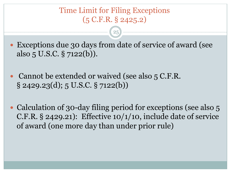#### Time Limit for Filing Exceptions (5 C.F.R. § 2425.2)

 $25<sup>2</sup>$ 

• Exceptions due 30 days from date of service of award (see also 5 U.S.C. § 7122(b)).

- Cannot be extended or waived (see also 5 C.F.R.  $\S$  2429.23(d); 5 U.S.C.  $\S$  7122(b))
- Calculation of 30-day filing period for exceptions (see also 5) C.F.R. § 2429.21): Effective 10/1/10, include date of service of award (one more day than under prior rule)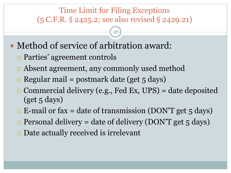### Time Limit for Filing Exceptions (5 C.F.R. § 2425.2; see also revised § 2429.21)

- Method of service of arbitration award:
	- ! Parties' agreement controls
	- ! Absent agreement, any commonly used method
	- $\circ$  Regular mail = postmark date (get 5 days)
	- ! Commercial delivery (e.g., Fed Ex, UPS) = date deposited  $(get\,5\,days)$
	- $\circ$  E-mail or fax = date of transmission (DON'T get 5 days)
	- $\circ$  Personal delivery = date of delivery (DON'T get 5 days)
	- o Date actually received is irrelevant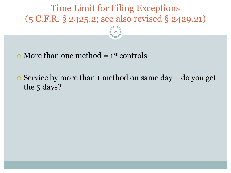

 $\circ$  More than one method = 1<sup>st</sup> controls

 $\circ$  Service by more than 1 method on same day – do you get the 5 days?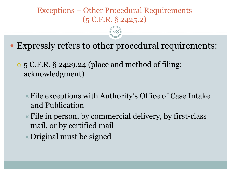#### Exceptions – Other Procedural Requirements (5 C.F.R. § 2425.2)

- " Expressly refers to other procedural requirements:
	- ! 5 C.F.R. § 2429.24 (place and method of filing; acknowledgment)
		- $\triangleright$  File exceptions with Authority's Office of Case Intake and Publication
		- $\blacktriangleright$  File in person, by commercial delivery, by first-class mail, or by certified mail
		- $\triangleright$  Original must be signed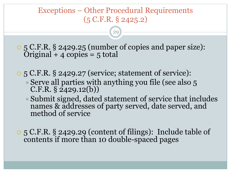#### Exceptions – Other Procedural Requirements (5 C.F.R. § 2425.2)

29

! 5 C.F.R. § 2429.25 (number of copies and paper size):  $Original + 4 copies = 5 total$ 

 $\circ$  5 C.F.R. § 2429.27 (service; statement of service):  $\overline{\phantom{a}}$  Serve all parties with anything you file (see also 5  $C.F.R. § 2429.12(b)$ 

 $\blacktriangleright$  Submit signed, dated statement of service that includes names & addresses of party served, date served, and method of service

 $\circ$  5 C.F.R. § 2429.29 (content of filings): Include table of contents if more than 10 double-spaced pages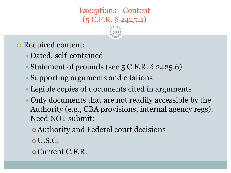#### Exceptions - Content (5 C.F.R. § 2425.4)

- o Required content:
	- $\times$  Dated, self-contained
	- $\blacktriangleright$  Statement of grounds (see 5 C.F.R. § 2425.6)
	- $\triangle$  Supporting arguments and citations
	- $\overline{\phantom{a}}$  Legible copies of documents cited in arguments
	- $\triangleright$  Only documents that are not readily accessible by the Authority (e.g., CBA provisions, internal agency regs). Need NOT submit:
		- **Authority and Federal court decisions**
		- o U.S.C.
		- o Current C.F.R.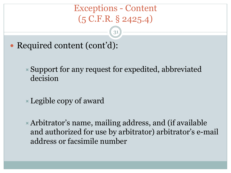### Exceptions - Content (5 C.F.R. § 2425.4)

31

• Required content (cont'd):

 $\blacktriangleright$  Support for any request for expedited, abbreviated decision

 $\blacktriangleright$  Legible copy of award

 $\blacktriangleright$  Arbitrator's name, mailing address, and (if available and authorized for use by arbitrator) arbitrator's e-mail address or facsimile number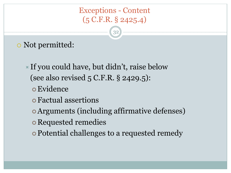### Exceptions - Content (5 C.F.R. § 2425.4)

32

### o Not permitted:

- If you could have, but didn't, raise below (see also revised 5 C.F.R. § 2429.5):
	- o Evidence
	- **o** Factual assertions
	- **Arguments (including affirmative defenses)**
	- **o** Requested remedies
	- Potential challenges to a requested remedy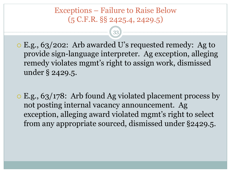#### Exceptions – Failure to Raise Below (5 C.F.R. §§ 2425.4, 2429.5)

- ! E.g., 63/202: Arb awarded U's requested remedy: Ag to provide sign-language interpreter. Ag exception, alleging remedy violates mgmt's right to assign work, dismissed under § 2429.5.
- ! E.g., 63/178: Arb found Ag violated placement process by not posting internal vacancy announcement. Ag exception, alleging award violated mgmt's right to select from any appropriate sourced, dismissed under §2429.5.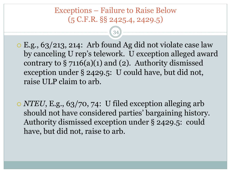#### Exceptions – Failure to Raise Below (5 C.F.R. §§ 2425.4, 2429.5)

- ! E.g., 63/213, 214: Arb found Ag did not violate case law by canceling U rep's telework. U exception alleged award contrary to  $\S 7116(a)(1)$  and (2). Authority dismissed exception under § 2429.5: U could have, but did not, raise ULP claim to arb.
- ! *NTEU*, E.g., 63/70, 74: U filed exception alleging arb should not have considered parties' bargaining history. Authority dismissed exception under § 2429.5: could have, but did not, raise to arb.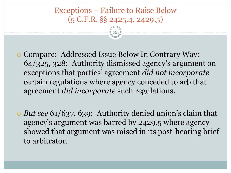#### Exceptions – Failure to Raise Below (5 C.F.R. §§ 2425.4, 2429.5)

35

! Compare: Addressed Issue Below In Contrary Way: 64/325, 328: Authority dismissed agency's argument on exceptions that parties' agreement *did not incorporate* certain regulations where agency conceded to arb that agreement *did incorporate* such regulations.

! *But see* 61/637, 639: Authority denied union's claim that agency's argument was barred by 2429.5 where agency showed that argument was raised in its post-hearing brief to arbitrator.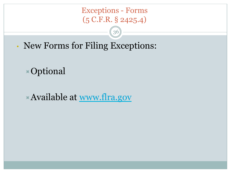#### Exceptions - Forms (5 C.F.R. § 2425.4)

36

• New Forms for Filing Exceptions:

 $\times$ Optional

 $\blacktriangleright$  Available at www.flra.gov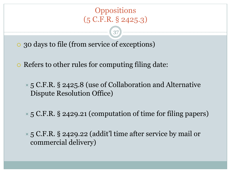### **Oppositions** (5 C.F.R. § 2425.3)

37

! 30 days to file (from service of exceptions)

• Refers to other rules for computing filing date:

**■ 5 C.F.R. § 2425.8 (use of Collaboration and Alternative** Dispute Resolution Office)

 $\times$  5 C.F.R. § 2429.21 (computation of time for filing papers)

 $\times$  5 C.F.R. § 2429.22 (addit'l time after service by mail or commercial delivery)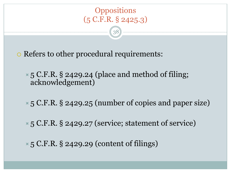

38

. Refers to other procedural requirements:

 $\times$  5 C.F.R. § 2429.24 (place and method of filing; acknowledgement)

 $\times$  5 C.F.R. § 2429.25 (number of copies and paper size)

 $\times$  5 C.F.R. § 2429.27 (service; statement of service)

 $\times$  5 C.F.R. § 2429.29 (content of filings)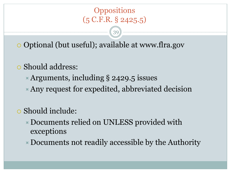### **Oppositions** (5 C.F.R. § 2425.5)

39

**.** Optional (but useful); available at www.flra.gov

- $\circ$  Should address:
	- $\blacktriangleright$  Arguments, including § 2429.5 issues
	- $\blacktriangleright$  Any request for expedited, abbreviated decision
- $\circ$  Should include:
	- $\triangleright$  Documents relied on UNLESS provided with exceptions
	- $\triangleright$  Documents not readily accessible by the Authority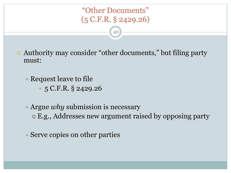### "Other Documents" (5 C.F.R. § 2429.26)

- ! Authority may consider "other documents," but filing party must:
	- $\times$  Request leave to file
		- 5 C.F.R. § 2429.26
	- ! Argue *why* submission is necessary " E.g., Addresses new argument raised by opposing party
	- $\times$  Serve copies on other parties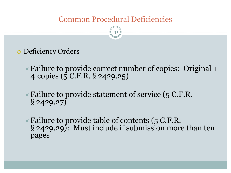#### Common Procedural Deficiencies

- o Deficiency Orders
	- $\triangleright$  Failure to provide correct number of copies: Original  $+$ **4** copies (5 C.F.R. § 2429.25)
	- $\blacktriangleright$  Failure to provide statement of service (5 C.F.R.  $\S 2429.27$
	- $\times$  Failure to provide table of contents (5 C.F.R. § 2429.29): Must include if submission more than ten pages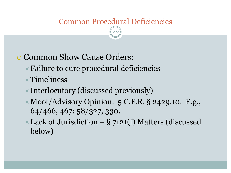### Common Procedural Deficiencies

42

### **. Common Show Cause Orders:**

- $\triangleright$  Failure to cure procedural deficiencies
- $\times$ Timeliness
- $\blacktriangleright$  Interlocutory (discussed previously)
- !Moot/Advisory Opinion. 5 C.F.R. § 2429.10. E.g., 64/466, 467; 58/327, 330.
- $\triangleright$  Lack of Jurisdiction § 7121(f) Matters (discussed below)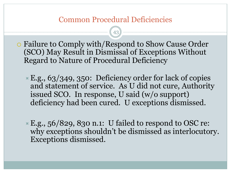#### Common Procedural Deficiencies

- ! Failure to Comply with/Respond to Show Cause Order (SCO) May Result in Dismissal of Exceptions Without Regard to Nature of Procedural Deficiency
	- $\angle$  E.g., 63/349, 350: Deficiency order for lack of copies and statement of service. As U did not cure, Authority issued SCO. In response, U said (w/o support) deficiency had been cured. U exceptions dismissed.
	- $\times$  E.g., 56/829, 830 n.1: U failed to respond to OSC re: why exceptions shouldn't be dismissed as interlocutory. Exceptions dismissed.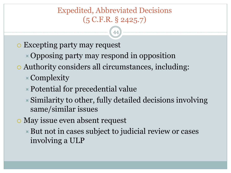### Expedited, Abbreviated Decisions (5 C.F.R. § 2425.7)

- o Excepting party may request
	- $\triangle$  Opposing party may respond in opposition
- . Authority considers all circumstances, including:
	- $\times$  Complexity
	- $\blacktriangleright$  Potential for precedential value
	- $\blacktriangleright$  Similarity to other, fully detailed decisions involving same/similar issues
- o May issue even absent request
	- $\triangleright$  But not in cases subject to judicial review or cases involving a ULP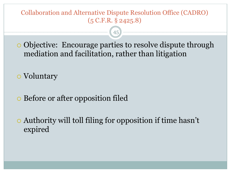#### Collaboration and Alternative Dispute Resolution Office (CADRO) (5 C.F.R. § 2425.8)

! Objective: Encourage parties to resolve dispute through mediation and facilitation, rather than litigation

45

o Voluntary

**EXECUTE: Before or after opposition filed** 

! Authority will toll filing for opposition if time hasn't expired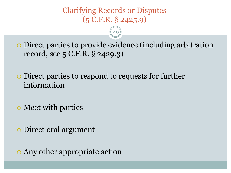### Clarifying Records or Disputes (5 C.F.R. § 2425.9)

! Direct parties to provide evidence (including arbitration record, see 5 C.F.R. § 2429.3)

46

! Direct parties to respond to requests for further information

o Meet with parties

o Direct oral argument

o Any other appropriate action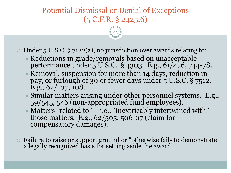### Potential Dismissal or Denial of Exceptions (5 C.F.R. § 2425.6)

47

 $\circ$  Under 5 U.S.C. § 7122(a), no jurisdiction over awards relating to:

- $\overline{\phantom{a}}$  Reductions in grade/removals based on unacceptable performance under 5 U.S.C. § 4303. E.g., 61/476, 744-78.
- $\triangleright$  Removal, suspension for more than 14 days, reduction in pay, or furlough of 30 or fewer days under 5 U.S.C. § 7512.  $E.g., 62/107, 108.$
- $\overline{\phantom{a}}$  Similar matters arising under other personnel systems. E.g., 59/545, 546 (non-appropriated fund employees).
- $\times$  Matters "related to" i.e., "inextricably intertwined with" those matters. E.g., 62/505, 506-07 (claim for compensatory damages).
- . Failure to raise or support ground or "otherwise fails to demonstrate a legally recognized basis for setting aside the award"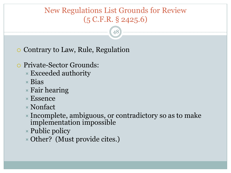### New Regulations List Grounds for Review (5 C.F.R. § 2425.6)

48

**.** Contrary to Law, Rule, Regulation

- **O** Private-Sector Grounds:
	- $\times$  Exceeded authority
	- $\times$  Bias
	- $\times$  Fair hearing
	- $\times$  Essence
	- ! Nonfact
	- $\blacktriangleright$  Incomplete, ambiguous, or contradictory so as to make implementation impossible
	- $\triangleright$  Public policy
	- $\times$  Other? (Must provide cites.)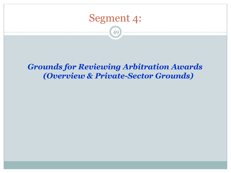

49

#### *Grounds for Reviewing Arbitration Awards (Overview & Private-Sector Grounds)*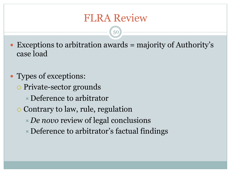### FLRA Review

- $\bullet$  Exceptions to arbitration awards = majority of Authority's case load
- Types of exceptions:
	- Private-sector grounds
		- $\times$  Deference to arbitrator
	- $\circ$  Contrary to law, rule, regulation
		- !*De novo* review of legal conclusions
		- $\triangleright$  Deference to arbitrator's factual findings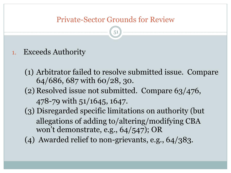- 1. Exceeds Authority
	- (1) Arbitrator failed to resolve submitted issue. Compare 64/686, 687 with 60/28, 30. (2) Resolved issue not submitted. Compare 63/476, 478-79 with 51/1645, 1647. (3) Disregarded specific limitations on authority (but allegations of adding to/altering/modifying CBA won't demonstrate, e.g., 64/547); OR (4) Awarded relief to non-grievants, e.g., 64/383.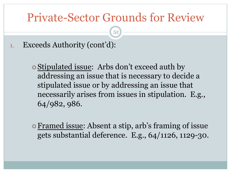52

1. Exceeds Authority (cont'd):

- **o** Stipulated issue: Arbs don't exceed auth by addressing an issue that is necessary to decide a stipulated issue or by addressing an issue that necessarily arises from issues in stipulation. E.g., 64/982, 986.
- Framed issue: Absent a stip, arb's framing of issue gets substantial deference. E.g., 64/1126, 1129-30.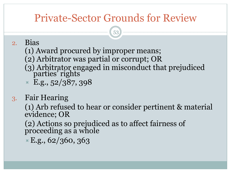53

#### 2. Bias

- (1) Award procured by improper means;
- (2) Arbitrator was partial or corrupt; OR
- (3) Arbitrator engaged in misconduct that prejudiced parties' rights
- $\times$  E.g., 52/387, 398
- 3. Fair Hearing

(1) Arb refused to hear or consider pertinent & material evidence; OR

(2) Actions so prejudiced as to affect fairness of proceeding as a whole

 $E.g., 62/360, 363$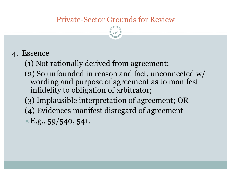54

#### 4. Essence

- (1) Not rationally derived from agreement;
- (2) So unfounded in reason and fact, unconnected w/ wording and purpose of agreement as to manifest infidelity to obligation of arbitrator;
- (3) Implausible interpretation of agreement; OR
- (4) Evidences manifest disregard of agreement
- $E.g., 59/540, 541.$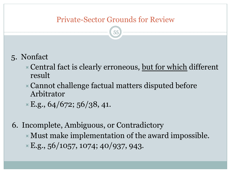55

- 5. Nonfact
	- $\triangleright$  Central fact is clearly erroneous, but for which different result
	- $\triangleright$  Cannot challenge factual matters disputed before Arbitrator

 $E.g., 64/672; 56/38, 41.$ 

6. Incomplete, Ambiguous, or Contradictory

- $\blacktriangleright$  Must make implementation of the award impossible.
- $E.g., 56/1057, 1074; 40/937, 943.$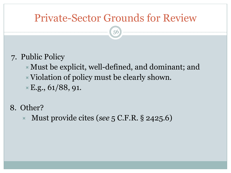- 7. Public Policy
	- $\blacktriangleright$  Must be explicit, well-defined, and dominant; and
	- $\triangleright$  Violation of policy must be clearly shown.
	- $E.g., 61/88, 91.$
- 8. Other?
	- ! Must provide cites (*see* 5 C.F.R. § 2425.6)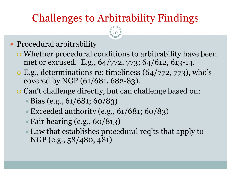## Challenges to Arbitrability Findings

57

### • Procedural arbitrability

- ! Whether procedural conditions to arbitrability have been met or excused. E.g., 64/772, 773; 64/612, 613-14.
- $\circ$  E.g., determinations re: timeliness (64/772, 773), who's covered by NGP (61/681, 682-83).
- ! Can't challenge directly, but can challenge based on:
	- $\triangle$  Bias (e.g., 61/681; 60/83)
	- $\blacktriangleright$  Exceeded authority (e.g., 61/681; 60/83)
	- $\triangleright$  Fair hearing (e.g., 60/813)
	- $\blacktriangleright$  Law that establishes procedural req'ts that apply to NGP (e.g., 58/480, 481)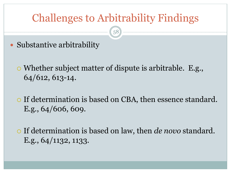## Challenges to Arbitrability Findings

- Substantive arbitrability
	- ! Whether subject matter of dispute is arbitrable. E.g., 64/612, 613-14.
	- o If determination is based on CBA, then essence standard. E.g., 64/606, 609.
	- ! If determination is based on law, then *de novo* standard. E.g., 64/1132, 1133.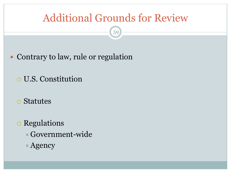## Additional Grounds for Review

- Contrary to law, rule or regulation
	- o U.S. Constitution
	- **o** Statutes
	- o Regulations  $\times$  Government-wide  $\times$  Agency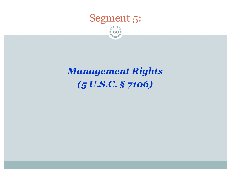

60

## *Management Rights (5 U.S.C. § 7106)*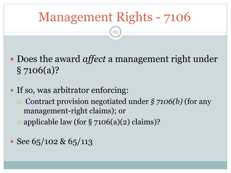- " Does the award *affect* a management right under § 7106(a)?
- If so, was arbitrator enforcing: ! Contract provision negotiated under *§ 7106(b)* (for any management-right claims); or  $\circ$  applicable law (for § 7106(a)(2) claims)?
- $\cdot$  See 65/102 & 65/113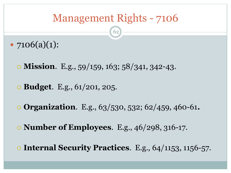- $7106(a)(1)$ :
	- ! **Mission**. E.g., 59/159, 163; 58/341, 342-43.
	- ! **Budget**. E.g., 61/201, 205.
	- ! **Organization**. E.g., 63/530, 532; 62/459, 460-61**.**
	- ! **Number of Employees**. E.g., 46/298, 316-17.
	- ! **Internal Security Practices**. E.g., 64/1153, 1156-57.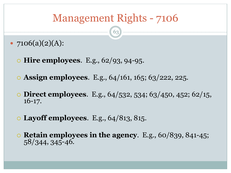- $\bullet$  7106(a)(2)(A):
	- ! **Hire employees**. E.g., 62/93, 94-95.
	- ! **Assign employees**. E.g., 64/161, 165; 63/222, 225.
	- ! **Direct employees**. E.g., 64/532, 534; 63/450, 452; 62/15, 16-17.
	- ! **Layoff employees**. E.g., 64/813, 815.
	- **Retain employees in the agency**. E.g., 60/839, 841-45;<br>58/344, 345-46.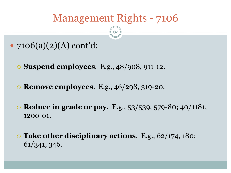- $\bullet$  7106(a)(2)(A) cont'd:
	- ! **Suspend employees**. E.g., 48/908, 911-12.
	- ! **Remove employees**. E.g., 46/298, 319-20.
	- ! **Reduce in grade or pay**. E.g., 53/539, 579-80; 40/1181, 1200-01.
	- ! **Take other disciplinary actions**. E.g., 62/174, 180; 61/341, 346.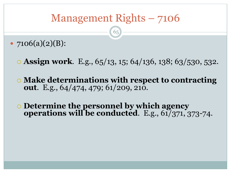- $7106(a)(2)(B)$ :
	- ! **Assign work**. E.g., 65/13, 15; 64/136, 138; 63/530, 532.
	- ! **Make determinations with respect to contracting out**. E.g., 64/474, 479; 61/209, 210.
	- ! **Determine the personnel by which agency operations will be conducted**. E.g., 61/371, 373-74.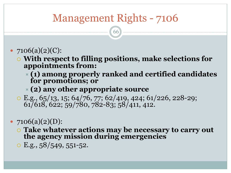66

#### • 7106(a)(2)(C):

- ! **With respect to filling positions, make selections for appointments from:** 
	- ! **(1) among properly ranked and certified candidates for promotions; or**

#### ! **(2) any other appropriate source**

 $\circ$  E.g., 65/13, 15; 64/76, 77; 62/419, 424; 61/226, 228-29; 61/618, 622; 59/780, 782-83; 58/411, 412.

### •  $7106(a)(2)(D)$ :

- ! **Take whatever actions may be necessary to carry out the agency mission during emergencies**
- $\circ$  E.g.,  $58/549, 551-52$ .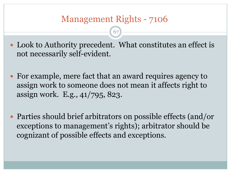67

• Look to Authority precedent. What constitutes an effect is not necessarily self-evident.

- For example, mere fact that an award requires agency to assign work to someone does not mean it affects right to assign work. E.g., 41/795, 823.
- Parties should brief arbitrators on possible effects (and/or exceptions to management's rights); arbitrator should be cognizant of possible effects and exceptions.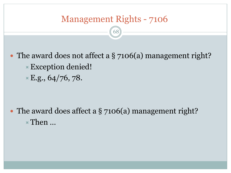68

• The award does not affect a  $\S$  7106(a) management right? !Exception denied!  $E.g., 64/76, 78.$ 

• The award does affect a  $\S$  7106(a) management right?  $\times$  Then  $\ldots$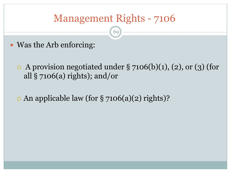- " Was the Arb enforcing:
	- $\circ$  A provision negotiated under § 7106(b)(1), (2), or (3) (for all  $\S$  7106(a) rights); and/or
	- $\circ$  An applicable law (for § 7106(a)(2) rights)?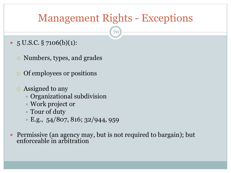## Management Rights - Exceptions

- $\bullet$  5 U.S.C. § 7106(b)(1):
	- Numbers, types, and grades
	- o Of employees or positions
	- o Assigned to any
		- $\times$  Organizational subdivision
		- $\times$  Work project or
		- $\times$  Tour of duty
		- $\times$  E.g., 54/807, 816; 32/944, 959
- Permissive (an agency may, but is not required to bargain); but enforceable in arbitration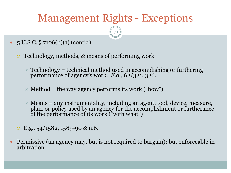## Management Rights - Exceptions

- $5 \text{ U.S.C.}$  § 7106(b)(1) (cont'd):
	- ! Technology, methods, & means of performing work
		- $\overline{\phantom{a}}$  Technology = technical method used in accomplishing or furthering performance of agency's work. *E.g.,* 62/321, 326.
		- $\angle$  Method = the way agency performs its work ("how")
		- $\star$  Means = any instrumentality, including an agent, tool, device, measure, plan, or policy used by an agency for the accomplishment or furtherance of the performance of its work ("with what")
	- $\circ$  E.g., 54/1582, 1589-90 & n.6.
- Permissive (an agency may, but is not required to bargain); but enforceable in arbitration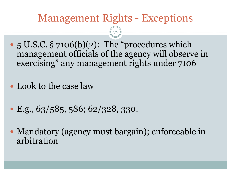### Management Rights - Exceptions

- 5 U.S.C. § 7106(b)(2): The "procedures which management officials of the agency will observe in exercising" any management rights under 7106
- Look to the case law
- $\cdot$  E.g., 63/585, 586; 62/328, 330.
- Mandatory (agency must bargain); enforceable in arbitration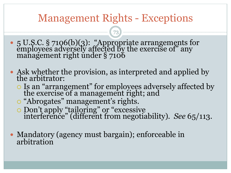# Management Rights - Exceptions

- " 5 U.S.C. § 7106(b)(3): "Appropriate arrangements for employees adversely affected by the exercise of" any management right under § 7106
- Ask whether the provision, as interpreted and applied by the arbitrator:
	- ! Is an "arrangement" for employees adversely affected by the exercise of a management right; and
	- o "Abrogates" management's rights.
	- ! Don't apply "tailoring" or "excessive interference" (different from negotiability). *See* 65/113.
- Mandatory (agency must bargain); enforceable in arbitration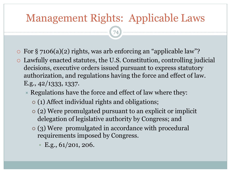# Management Rights: Applicable Laws

- $\circ$  For § 7106(a)(2) rights, was arb enforcing an "applicable law"?
- ! Lawfully enacted statutes, the U.S. Constitution, controlling judicial decisions, executive orders issued pursuant to express statutory authorization, and regulations having the force and effect of law. E.g., 42/1333, 1337.
	- $\triangleright$  Regulations have the force and effect of law where they:
		- (1) Affect individual rights and obligations;
		- " (2) Were promulgated pursuant to an explicit or implicit delegation of legislative authority by Congress; and
		- (3) Were promulgated in accordance with procedural requirements imposed by Congress.
			- E.g.,  $61/201$ , 206.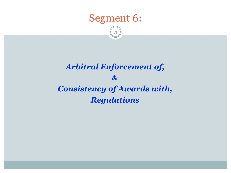

75

#### *Arbitral Enforcement of, & Consistency of Awards with, Regulations*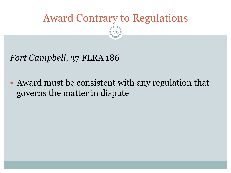# Award Contrary to Regulations

76

*Fort Campbell*, 37 FLRA 186

• Award must be consistent with any regulation that governs the matter in dispute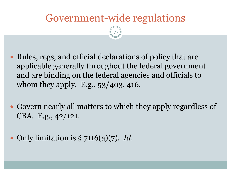# Government-wide regulations

- Rules, regs, and official declarations of policy that are applicable generally throughout the federal government and are binding on the federal agencies and officials to whom they apply. E.g., 53/403, 416.
- Govern nearly all matters to which they apply regardless of CBA. E.g., 42/121.
- " Only limitation is § 7116(a)(7). *Id.*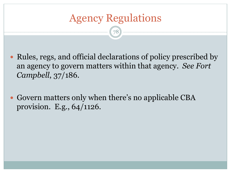# Agency Regulations

- Rules, regs, and official declarations of policy prescribed by an agency to govern matters within that agency. *See Fort Campbell*, 37/186.
- Govern matters only when there's no applicable CBA provision. E.g., 64/1126.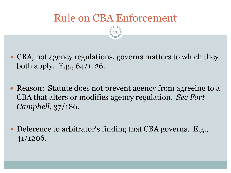# Rule on CBA Enforcement

- CBA, not agency regulations, governs matters to which they both apply. E.g., 64/1126.
- Reason: Statute does not prevent agency from agreeing to a CBA that alters or modifies agency regulation. *See Fort Campbell*, 37/186.
- Deference to arbitrator's finding that CBA governs. E.g., 41/1206.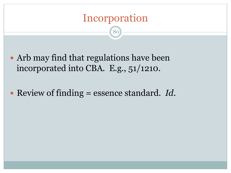# Incorporation

- Arb may find that regulations have been incorporated into CBA. E.g., 51/1210.
- " Review of finding = essence standard. *Id.*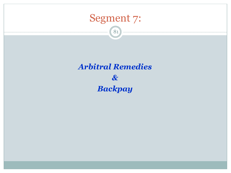

81

#### *Arbitral Remedies & Backpay*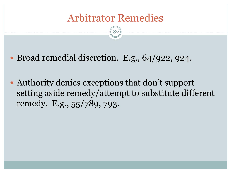# Arbitrator Remedies

- Broad remedial discretion. E.g., 64/922, 924.
- Authority denies exceptions that don't support setting aside remedy/attempt to substitute different remedy. E.g., 55/789, 793.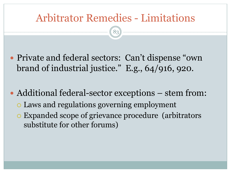# Arbitrator Remedies - Limitations

- Private and federal sectors: Can't dispense "own" brand of industrial justice." E.g., 64/916, 920.
- Additional federal-sector exceptions stem from: ! Laws and regulations governing employment ! Expanded scope of grievance procedure (arbitrators substitute for other forums)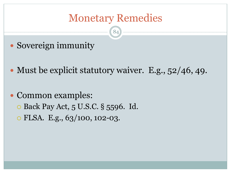# Monetary Remedies

- Sovereign immunity
- Must be explicit statutory waiver. E.g., 52/46, 49.
- Common examples:
	- **E** Back Pay Act, 5 U.S.C. § 5596. Id.
	- o FLSA. E.g., 63/100, 102-03.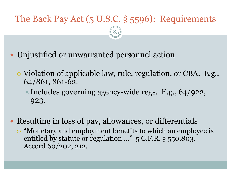#### The Back Pay Act (5 U.S.C. § 5596): Requirements

85

Unjustified or unwarranted personnel action

- ! Violation of applicable law, rule, regulation, or CBA. E.g., 64/861, 861-62.
	- $\blacktriangleright$  Includes governing agency-wide regs. E.g., 64/922, 923.
- Resulting in loss of pay, allowances, or differentials • "Monetary and employment benefits to which an employee is entitled by statute or regulation …" 5 C.F.R. § 550.803. Accord 60/202, 212.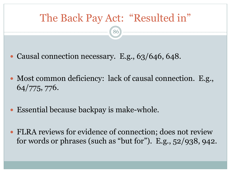

- Causal connection necessary. E.g., 63/646, 648.
- " Most common deficiency: lack of causal connection. E.g., 64/775, 776.
- " Essential because backpay is make-whole.
- FLRA reviews for evidence of connection; does not review for words or phrases (such as "but for"). E.g., 52/938, 942.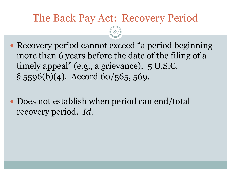## The Back Pay Act: Recovery Period

87)

- Recovery period cannot exceed "a period beginning more than 6 years before the date of the filing of a timely appeal" (e.g., a grievance). 5 U.S.C.  $\S$  5596(b)(4). Accord 60/565, 569.
- Does not establish when period can end/total recovery period. *Id.*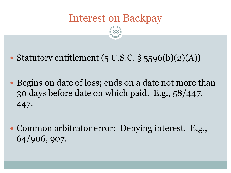# Interest on Backpay

88

• Statutory entitlement  $(5 \text{ U.S.C.} \S 5596(b)(2)(A))$ 

- Begins on date of loss; ends on a date not more than 30 days before date on which paid. E.g., 58/447, 447.
- Common arbitrator error: Denying interest. E.g., 64/906, 907.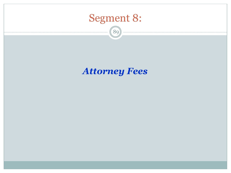

89)

#### *Attorney Fees*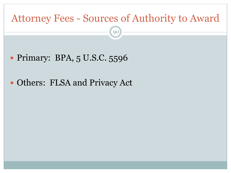### Attorney Fees - Sources of Authority to Award

90

• Primary: BPA, 5 U.S.C. 5596

#### • Others: FLSA and Privacy Act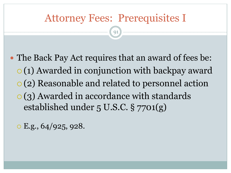# Attorney Fees: Prerequisites I

91

• The Back Pay Act requires that an award of fees be:  $\circ$  (1) Awarded in conjunction with backpay award ! (2) Reasonable and related to personnel action  $\circ$  (3) Awarded in accordance with standards established under 5 U.S.C. § 7701(g)

 $\circ$  E.g., 64/925, 928.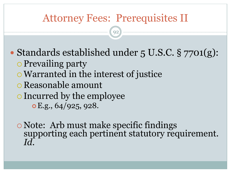# Attorney Fees: Prerequisites II

92

• Standards established under 5 U.S.C. § 7701(g):

- o Prevailing party
- o Warranted in the interest of justice
- o Reasonable amount
- o Incurred by the employee
	- $\circ$  E.g., 64/925, 928.

! Note: Arb must make specific findings supporting each pertinent statutory requirement. *Id.*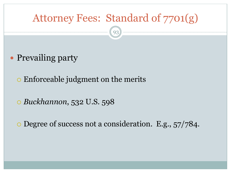# Attorney Fees: Standard of 7701(g) 93

- Prevailing party
	- o Enforceable judgment on the merits
	- ! *Buckhannon*, 532 U.S. 598

. Degree of success not a consideration. E.g.,  $57/784$ .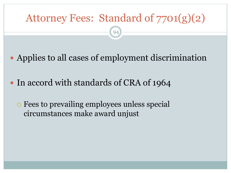# Attorney Fees: Standard of 7701(g)(2) 94

- Applies to all cases of employment discrimination
- In accord with standards of CRA of 1964
	- ! Fees to prevailing employees unless special circumstances make award unjust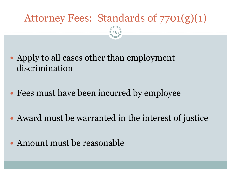# Attorney Fees: Standards of 7701(g)(1)

- Apply to all cases other than employment discrimination
- Fees must have been incurred by employee
- Award must be warranted in the interest of justice
- Amount must be reasonable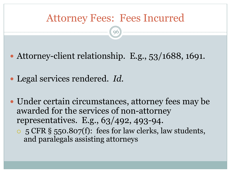## Attorney Fees: Fees Incurred

96

• Attorney-client relationship. E.g., 53/1688, 1691.

" Legal services rendered. *Id.*

• Under certain circumstances, attorney fees may be awarded for the services of non-attorney representatives. E.g., 63/492, 493-94. ! 5 CFR § 550.807(f): fees for law clerks, law students,

and paralegals assisting attorneys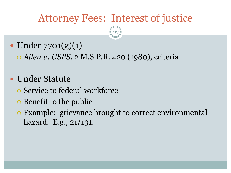# Attorney Fees: Interest of justice

97

 $\bullet$  Under 7701(g)(1)

! *Allen v. USPS*, 2 M.S.P.R. 420 (1980), criteria

- Under Statute
	- ! Service to federal workforce
	- o Benefit to the public
	- ! Example: grievance brought to correct environmental hazard. E.g., 21/131.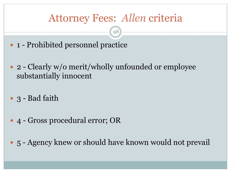# Attorney Fees: *Allen* criteria

- 1 Prohibited personnel practice
- 2 Clearly w/o merit/wholly unfounded or employee substantially innocent
- 3 Bad faith
- 4 Gross procedural error; OR
- 5 Agency knew or should have known would not prevail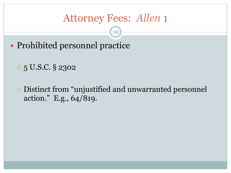- Prohibited personnel practice
	- o 5 U.S.C. § 2302
	- ! Distinct from "unjustified and unwarranted personnel action." E.g., 64/819.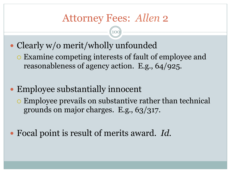- Clearly w/o merit/wholly unfounded
	- ! Examine competing interests of fault of employee and reasonableness of agency action. E.g., 64/925.
- Employee substantially innocent
	- ! Employee prevails on substantive rather than technical grounds on major charges. E.g., 63/317.
- " Focal point is result of merits award. *Id.*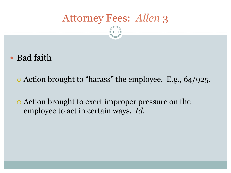101

• Bad faith

. Action brought to "harass" the employee. E.g., 64/925.

. Action brought to exert improper pressure on the employee to act in certain ways. *Id.*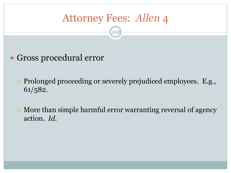10

Gross procedural error

• Prolonged proceeding or severely prejudiced employees. E.g., 61/582.

. More than simple harmful error warranting reversal of agency action. *Id.*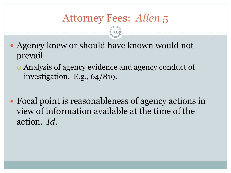- Agency knew or should have known would not prevail
	- ! Analysis of agency evidence and agency conduct of investigation. E.g., 64/819.
- Focal point is reasonableness of agency actions in view of information available at the time of the action. *Id.*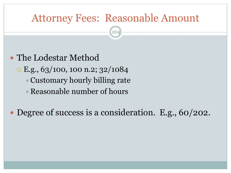#### Attorney Fees: Reasonable Amount

104

• The Lodestar Method

- o E.g., 63/100, 100 n.2; 32/1084
	- $\triangle$  Customary hourly billing rate
	- $\times$  Reasonable number of hours

• Degree of success is a consideration. E.g., 60/202.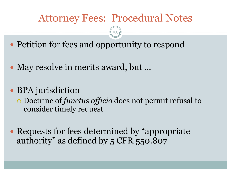## Attorney Fees: Procedural Notes

 $10<sup>1</sup>$ 

- Petition for fees and opportunity to respond
- May resolve in merits award, but ...
- BPA jurisdiction
	- ! Doctrine of *functus officio* does not permit refusal to consider timely request
- Requests for fees determined by "appropriate" authority" as defined by 5 CFR 550.807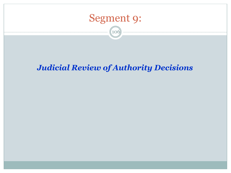

106

#### *Judicial Review of Authority Decisions*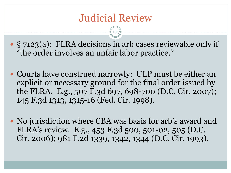# Judicial Review

- § 7123(a): FLRA decisions in arb cases reviewable only if "the order involves an unfair labor practice."
- Courts have construed narrowly: ULP must be either an explicit or necessary ground for the final order issued by the FLRA. E.g., 507 F.3d 697, 698-700 (D.C. Cir. 2007); 145 F.3d 1313, 1315-16 (Fed. Cir. 1998).
- No jurisdiction where CBA was basis for arb's award and FLRA's review. E.g., 453 F.3d 500, 501-02, 505 (D.C. Cir. 2006); 981 F.2d 1339, 1342, 1344 (D.C. Cir. 1993).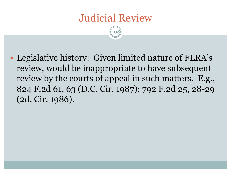# Judicial Review

108

• Legislative history: Given limited nature of FLRA's review, would be inappropriate to have subsequent review by the courts of appeal in such matters. E.g., 824 F.2d 61, 63 (D.C. Cir. 1987); 792 F.2d 25, 28-29 (2d. Cir. 1986).